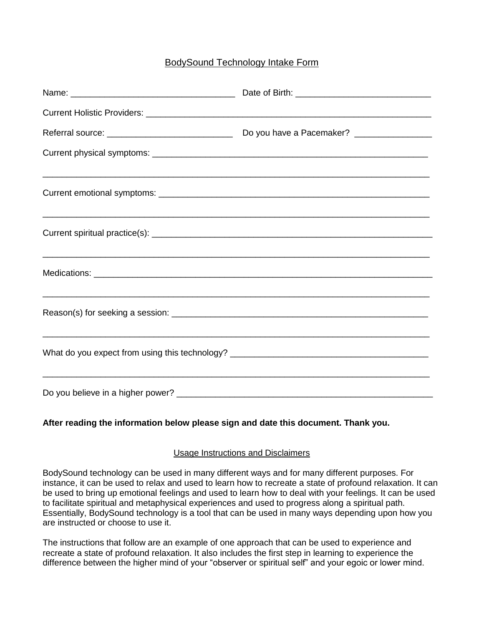## BodySound Technology Intake Form

| ,我们也不能在这里的,我们也不能在这里的人,我们也不能在这里的人,我们也不能在这里的人,我们也不能在这里的人,我们也不能在这里的人,我们也不能在这里的人,我们也  |  |
|-----------------------------------------------------------------------------------|--|
| ,我们也不能在这里的人,我们也不能在这里的人,我们也不能在这里的人,我们也不能在这里的人,我们也不能在这里的人,我们也不能在这里的人,我们也不能在这里的人,我们也 |  |
|                                                                                   |  |
|                                                                                   |  |
|                                                                                   |  |

## **After reading the information below please sign and date this document. Thank you.**

## Usage Instructions and Disclaimers

BodySound technology can be used in many different ways and for many different purposes. For instance, it can be used to relax and used to learn how to recreate a state of profound relaxation. It can be used to bring up emotional feelings and used to learn how to deal with your feelings. It can be used to facilitate spiritual and metaphysical experiences and used to progress along a spiritual path. Essentially, BodySound technology is a tool that can be used in many ways depending upon how you are instructed or choose to use it.

The instructions that follow are an example of one approach that can be used to experience and recreate a state of profound relaxation. It also includes the first step in learning to experience the difference between the higher mind of your "observer or spiritual self" and your egoic or lower mind.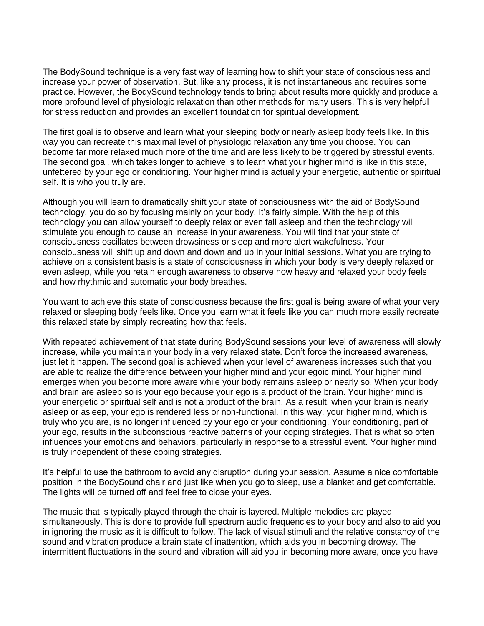The BodySound technique is a very fast way of learning how to shift your state of consciousness and increase your power of observation. But, like any process, it is not instantaneous and requires some practice. However, the BodySound technology tends to bring about results more quickly and produce a more profound level of physiologic relaxation than other methods for many users. This is very helpful for stress reduction and provides an excellent foundation for spiritual development.

The first goal is to observe and learn what your sleeping body or nearly asleep body feels like. In this way you can recreate this maximal level of physiologic relaxation any time you choose. You can become far more relaxed much more of the time and are less likely to be triggered by stressful events. The second goal, which takes longer to achieve is to learn what your higher mind is like in this state, unfettered by your ego or conditioning. Your higher mind is actually your energetic, authentic or spiritual self. It is who you truly are.

Although you will learn to dramatically shift your state of consciousness with the aid of BodySound technology, you do so by focusing mainly on your body. It's fairly simple. With the help of this technology you can allow yourself to deeply relax or even fall asleep and then the technology will stimulate you enough to cause an increase in your awareness. You will find that your state of consciousness oscillates between drowsiness or sleep and more alert wakefulness. Your consciousness will shift up and down and down and up in your initial sessions. What you are trying to achieve on a consistent basis is a state of consciousness in which your body is very deeply relaxed or even asleep, while you retain enough awareness to observe how heavy and relaxed your body feels and how rhythmic and automatic your body breathes.

You want to achieve this state of consciousness because the first goal is being aware of what your very relaxed or sleeping body feels like. Once you learn what it feels like you can much more easily recreate this relaxed state by simply recreating how that feels.

With repeated achievement of that state during BodySound sessions your level of awareness will slowly increase, while you maintain your body in a very relaxed state. Don't force the increased awareness, just let it happen. The second goal is achieved when your level of awareness increases such that you are able to realize the difference between your higher mind and your egoic mind. Your higher mind emerges when you become more aware while your body remains asleep or nearly so. When your body and brain are asleep so is your ego because your ego is a product of the brain. Your higher mind is your energetic or spiritual self and is not a product of the brain. As a result, when your brain is nearly asleep or asleep, your ego is rendered less or non-functional. In this way, your higher mind, which is truly who you are, is no longer influenced by your ego or your conditioning. Your conditioning, part of your ego, results in the subconscious reactive patterns of your coping strategies. That is what so often influences your emotions and behaviors, particularly in response to a stressful event. Your higher mind is truly independent of these coping strategies.

It's helpful to use the bathroom to avoid any disruption during your session. Assume a nice comfortable position in the BodySound chair and just like when you go to sleep, use a blanket and get comfortable. The lights will be turned off and feel free to close your eyes.

The music that is typically played through the chair is layered. Multiple melodies are played simultaneously. This is done to provide full spectrum audio frequencies to your body and also to aid you in ignoring the music as it is difficult to follow. The lack of visual stimuli and the relative constancy of the sound and vibration produce a brain state of inattention, which aids you in becoming drowsy. The intermittent fluctuations in the sound and vibration will aid you in becoming more aware, once you have